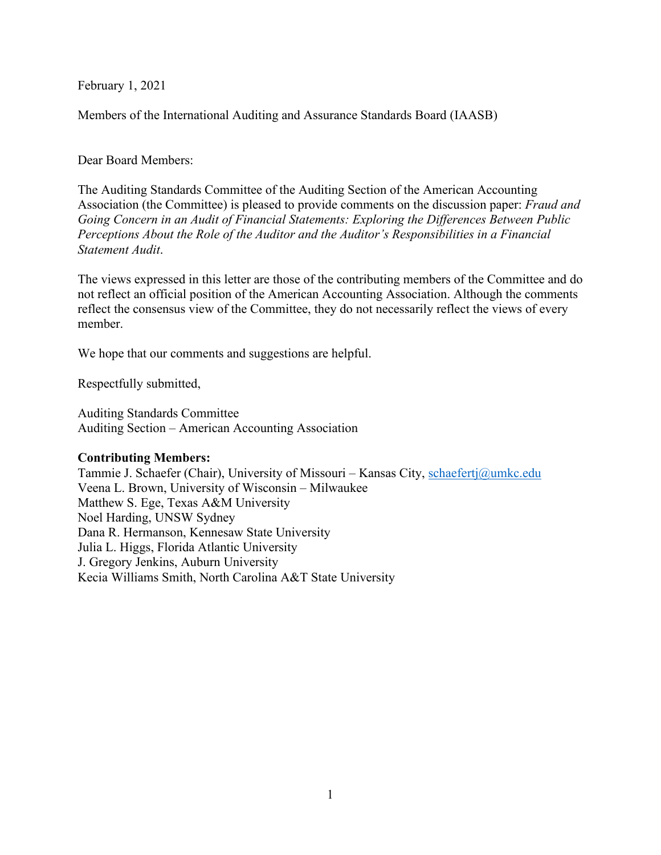February 1, 2021

Members of the International Auditing and Assurance Standards Board (IAASB)

Dear Board Members:

The Auditing Standards Committee of the Auditing Section of the American Accounting Association (the Committee) is pleased to provide comments on the discussion paper: *Fraud and Going Concern in an Audit of Financial Statements: Exploring the Differences Between Public Perceptions About the Role of the Auditor and the Auditor's Responsibilities in a Financial Statement Audit*.

The views expressed in this letter are those of the contributing members of the Committee and do not reflect an official position of the American Accounting Association. Although the comments reflect the consensus view of the Committee, they do not necessarily reflect the views of every member.

We hope that our comments and suggestions are helpful.

Respectfully submitted,

Auditing Standards Committee Auditing Section – American Accounting Association

### **Contributing Members:**

Tammie J. Schaefer (Chair), University of Missouri – Kansas City, [schaefertj@umkc.edu](mailto:schaefertj@umkc.edu) Veena L. Brown, University of Wisconsin – Milwaukee Matthew S. Ege, Texas A&M University Noel Harding, UNSW Sydney Dana R. Hermanson, Kennesaw State University Julia L. Higgs, Florida Atlantic University J. Gregory Jenkins, Auburn University Kecia Williams Smith, North Carolina A&T State University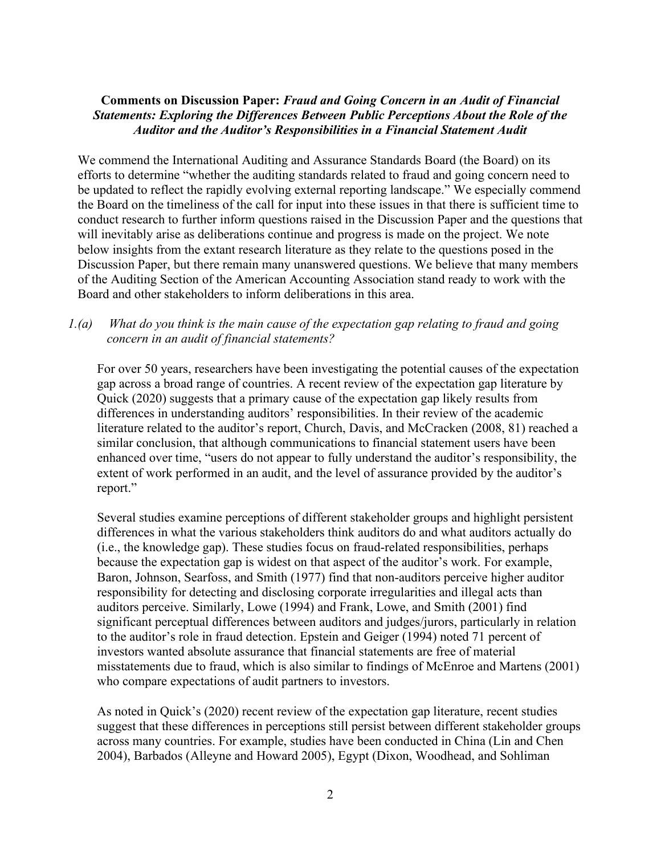### **Comments on Discussion Paper:** *Fraud and Going Concern in an Audit of Financial Statements: Exploring the Differences Between Public Perceptions About the Role of the Auditor and the Auditor's Responsibilities in a Financial Statement Audit*

We commend the International Auditing and Assurance Standards Board (the Board) on its efforts to determine "whether the auditing standards related to fraud and going concern need to be updated to reflect the rapidly evolving external reporting landscape." We especially commend the Board on the timeliness of the call for input into these issues in that there is sufficient time to conduct research to further inform questions raised in the Discussion Paper and the questions that will inevitably arise as deliberations continue and progress is made on the project. We note below insights from the extant research literature as they relate to the questions posed in the Discussion Paper, but there remain many unanswered questions. We believe that many members of the Auditing Section of the American Accounting Association stand ready to work with the Board and other stakeholders to inform deliberations in this area.

## *1.(a) What do you think is the main cause of the expectation gap relating to fraud and going concern in an audit of financial statements?*

For over 50 years, researchers have been investigating the potential causes of the expectation gap across a broad range of countries. A recent review of the expectation gap literature by Quick (2020) suggests that a primary cause of the expectation gap likely results from differences in understanding auditors' responsibilities. In their review of the academic literature related to the auditor's report, Church, Davis, and McCracken (2008, 81) reached a similar conclusion, that although communications to financial statement users have been enhanced over time, "users do not appear to fully understand the auditor's responsibility, the extent of work performed in an audit, and the level of assurance provided by the auditor's report."

Several studies examine perceptions of different stakeholder groups and highlight persistent differences in what the various stakeholders think auditors do and what auditors actually do (i.e., the knowledge gap). These studies focus on fraud-related responsibilities, perhaps because the expectation gap is widest on that aspect of the auditor's work. For example, Baron, Johnson, Searfoss, and Smith (1977) find that non-auditors perceive higher auditor responsibility for detecting and disclosing corporate irregularities and illegal acts than auditors perceive. Similarly, Lowe (1994) and Frank, Lowe, and Smith (2001) find significant perceptual differences between auditors and judges/jurors, particularly in relation to the auditor's role in fraud detection. Epstein and Geiger (1994) noted 71 percent of investors wanted absolute assurance that financial statements are free of material misstatements due to fraud, which is also similar to findings of McEnroe and Martens (2001) who compare expectations of audit partners to investors.

As noted in Quick's (2020) recent review of the expectation gap literature, recent studies suggest that these differences in perceptions still persist between different stakeholder groups across many countries. For example, studies have been conducted in China (Lin and Chen 2004), Barbados (Alleyne and Howard 2005), Egypt (Dixon, Woodhead, and Sohliman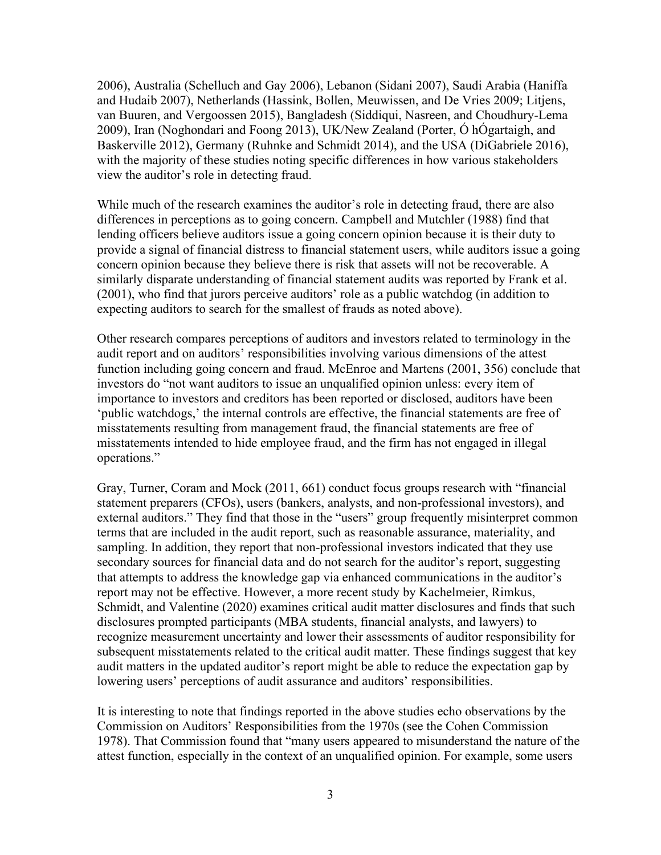2006), Australia (Schelluch and Gay 2006), Lebanon (Sidani 2007), Saudi Arabia (Haniffa and Hudaib 2007), Netherlands (Hassink, Bollen, Meuwissen, and De Vries 2009; Litjens, van Buuren, and Vergoossen 2015), Bangladesh (Siddiqui, Nasreen, and Choudhury-Lema 2009), Iran (Noghondari and Foong 2013), UK/New Zealand (Porter, Ó hÓgartaigh, and Baskerville 2012), Germany (Ruhnke and Schmidt 2014), and the USA (DiGabriele 2016), with the majority of these studies noting specific differences in how various stakeholders view the auditor's role in detecting fraud.

While much of the research examines the auditor's role in detecting fraud, there are also differences in perceptions as to going concern. Campbell and Mutchler (1988) find that lending officers believe auditors issue a going concern opinion because it is their duty to provide a signal of financial distress to financial statement users, while auditors issue a going concern opinion because they believe there is risk that assets will not be recoverable. A similarly disparate understanding of financial statement audits was reported by Frank et al. (2001), who find that jurors perceive auditors' role as a public watchdog (in addition to expecting auditors to search for the smallest of frauds as noted above).

Other research compares perceptions of auditors and investors related to terminology in the audit report and on auditors' responsibilities involving various dimensions of the attest function including going concern and fraud. McEnroe and Martens (2001, 356) conclude that investors do "not want auditors to issue an unqualified opinion unless: every item of importance to investors and creditors has been reported or disclosed, auditors have been 'public watchdogs,' the internal controls are effective, the financial statements are free of misstatements resulting from management fraud, the financial statements are free of misstatements intended to hide employee fraud, and the firm has not engaged in illegal operations."

Gray, Turner, Coram and Mock (2011, 661) conduct focus groups research with "financial statement preparers (CFOs), users (bankers, analysts, and non-professional investors), and external auditors." They find that those in the "users" group frequently misinterpret common terms that are included in the audit report, such as reasonable assurance, materiality, and sampling. In addition, they report that non-professional investors indicated that they use secondary sources for financial data and do not search for the auditor's report, suggesting that attempts to address the knowledge gap via enhanced communications in the auditor's report may not be effective. However, a more recent study by Kachelmeier, Rimkus, Schmidt, and Valentine (2020) examines critical audit matter disclosures and finds that such disclosures prompted participants (MBA students, financial analysts, and lawyers) to recognize measurement uncertainty and lower their assessments of auditor responsibility for subsequent misstatements related to the critical audit matter. These findings suggest that key audit matters in the updated auditor's report might be able to reduce the expectation gap by lowering users' perceptions of audit assurance and auditors' responsibilities.

It is interesting to note that findings reported in the above studies echo observations by the Commission on Auditors' Responsibilities from the 1970s (see the Cohen Commission 1978). That Commission found that "many users appeared to misunderstand the nature of the attest function, especially in the context of an unqualified opinion. For example, some users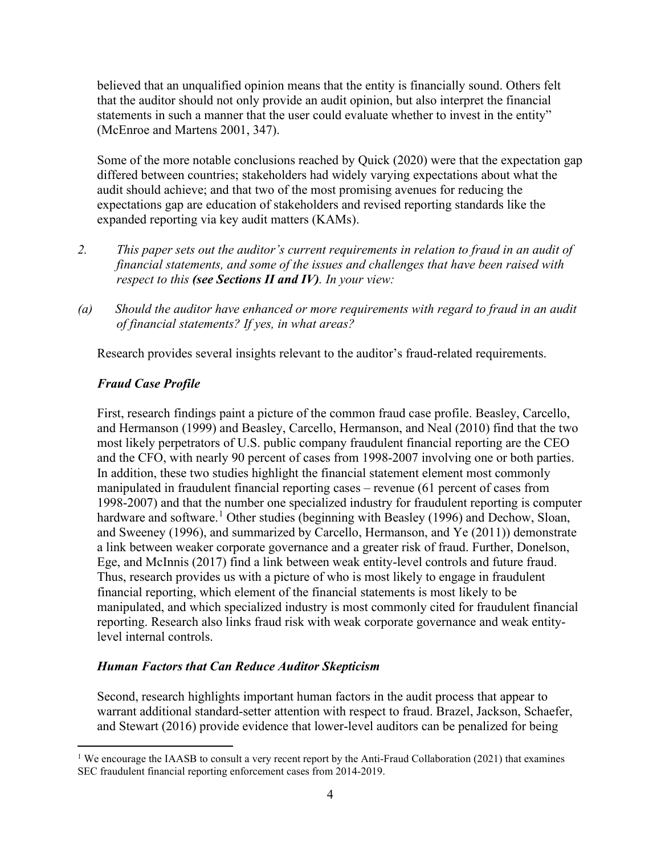believed that an unqualified opinion means that the entity is financially sound. Others felt that the auditor should not only provide an audit opinion, but also interpret the financial statements in such a manner that the user could evaluate whether to invest in the entity" (McEnroe and Martens 2001, 347).

Some of the more notable conclusions reached by Quick (2020) were that the expectation gap differed between countries; stakeholders had widely varying expectations about what the audit should achieve; and that two of the most promising avenues for reducing the expectations gap are education of stakeholders and revised reporting standards like the expanded reporting via key audit matters (KAMs).

- *2. This paper sets out the auditor's current requirements in relation to fraud in an audit of financial statements, and some of the issues and challenges that have been raised with respect to this (see Sections II and IV). In your view:*
- *(a) Should the auditor have enhanced or more requirements with regard to fraud in an audit of financial statements? If yes, in what areas?*

Research provides several insights relevant to the auditor's fraud-related requirements.

# *Fraud Case Profile*

First, research findings paint a picture of the common fraud case profile. Beasley, Carcello, and Hermanson (1999) and Beasley, Carcello, Hermanson, and Neal (2010) find that the two most likely perpetrators of U.S. public company fraudulent financial reporting are the CEO and the CFO, with nearly 90 percent of cases from 1998-2007 involving one or both parties. In addition, these two studies highlight the financial statement element most commonly manipulated in fraudulent financial reporting cases – revenue (61 percent of cases from 1998-2007) and that the number one specialized industry for fraudulent reporting is computer hardware and software.<sup>[1](#page-3-0)</sup> Other studies (beginning with Beasley (1996) and Dechow, Sloan, and Sweeney (1996), and summarized by Carcello, Hermanson, and Ye (2011)) demonstrate a link between weaker corporate governance and a greater risk of fraud. Further, Donelson, Ege, and McInnis (2017) find a link between weak entity-level controls and future fraud. Thus, research provides us with a picture of who is most likely to engage in fraudulent financial reporting, which element of the financial statements is most likely to be manipulated, and which specialized industry is most commonly cited for fraudulent financial reporting. Research also links fraud risk with weak corporate governance and weak entitylevel internal controls.

# *Human Factors that Can Reduce Auditor Skepticism*

Second, research highlights important human factors in the audit process that appear to warrant additional standard-setter attention with respect to fraud. Brazel, Jackson, Schaefer, and Stewart (2016) provide evidence that lower-level auditors can be penalized for being

<span id="page-3-0"></span><sup>&</sup>lt;sup>1</sup> We encourage the IAASB to consult a very recent report by the Anti-Fraud Collaboration (2021) that examines SEC fraudulent financial reporting enforcement cases from 2014-2019.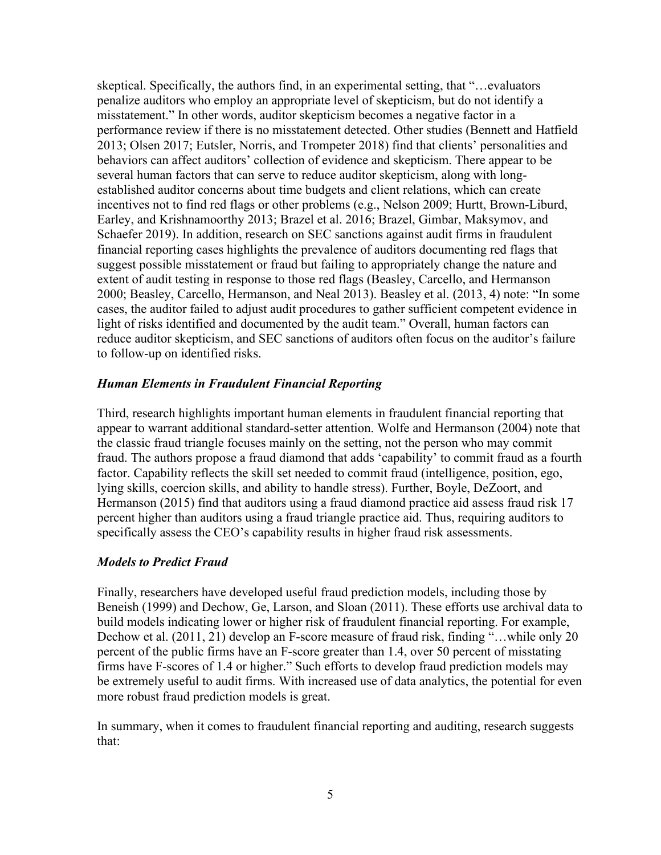skeptical. Specifically, the authors find, in an experimental setting, that "…evaluators penalize auditors who employ an appropriate level of skepticism, but do not identify a misstatement." In other words, auditor skepticism becomes a negative factor in a performance review if there is no misstatement detected. Other studies (Bennett and Hatfield 2013; Olsen 2017; Eutsler, Norris, and Trompeter 2018) find that clients' personalities and behaviors can affect auditors' collection of evidence and skepticism. There appear to be several human factors that can serve to reduce auditor skepticism, along with longestablished auditor concerns about time budgets and client relations, which can create incentives not to find red flags or other problems (e.g., Nelson 2009; Hurtt, Brown-Liburd, Earley, and Krishnamoorthy 2013; Brazel et al. 2016; Brazel, Gimbar, Maksymov, and Schaefer 2019). In addition, research on SEC sanctions against audit firms in fraudulent financial reporting cases highlights the prevalence of auditors documenting red flags that suggest possible misstatement or fraud but failing to appropriately change the nature and extent of audit testing in response to those red flags (Beasley, Carcello, and Hermanson 2000; Beasley, Carcello, Hermanson, and Neal 2013). Beasley et al. (2013, 4) note: "In some cases, the auditor failed to adjust audit procedures to gather sufficient competent evidence in light of risks identified and documented by the audit team." Overall, human factors can reduce auditor skepticism, and SEC sanctions of auditors often focus on the auditor's failure to follow-up on identified risks.

### *Human Elements in Fraudulent Financial Reporting*

Third, research highlights important human elements in fraudulent financial reporting that appear to warrant additional standard-setter attention. Wolfe and Hermanson (2004) note that the classic fraud triangle focuses mainly on the setting, not the person who may commit fraud. The authors propose a fraud diamond that adds 'capability' to commit fraud as a fourth factor. Capability reflects the skill set needed to commit fraud (intelligence, position, ego, lying skills, coercion skills, and ability to handle stress). Further, Boyle, DeZoort, and Hermanson (2015) find that auditors using a fraud diamond practice aid assess fraud risk 17 percent higher than auditors using a fraud triangle practice aid. Thus, requiring auditors to specifically assess the CEO's capability results in higher fraud risk assessments.

#### *Models to Predict Fraud*

Finally, researchers have developed useful fraud prediction models, including those by Beneish (1999) and Dechow, Ge, Larson, and Sloan (2011). These efforts use archival data to build models indicating lower or higher risk of fraudulent financial reporting. For example, Dechow et al. (2011, 21) develop an F-score measure of fraud risk, finding "...while only 20 percent of the public firms have an F-score greater than 1.4, over 50 percent of misstating firms have F-scores of 1.4 or higher." Such efforts to develop fraud prediction models may be extremely useful to audit firms. With increased use of data analytics, the potential for even more robust fraud prediction models is great.

In summary, when it comes to fraudulent financial reporting and auditing, research suggests that: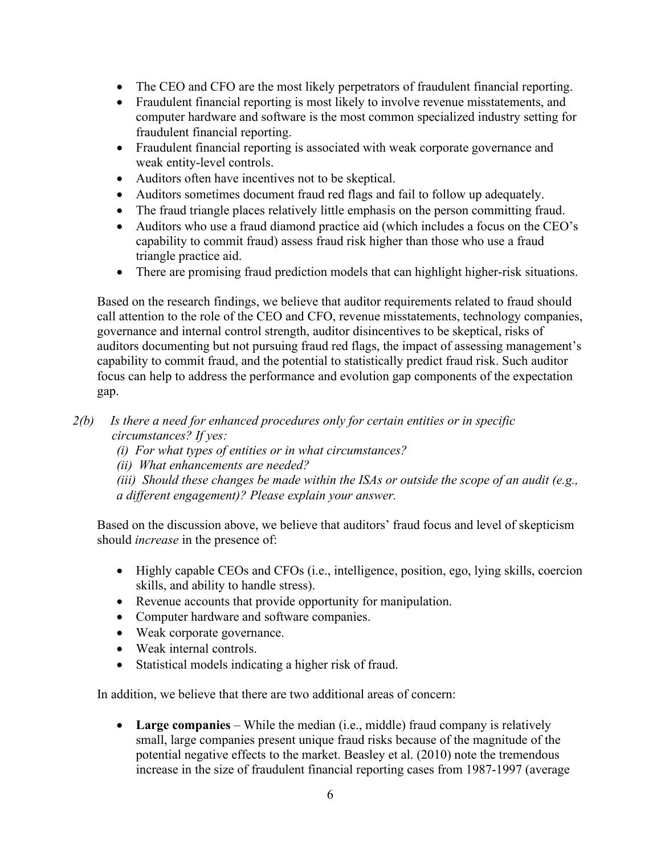- The CEO and CFO are the most likely perpetrators of fraudulent financial reporting.
- Fraudulent financial reporting is most likely to involve revenue misstatements, and computer hardware and software is the most common specialized industry setting for fraudulent financial reporting.
- Fraudulent financial reporting is associated with weak corporate governance and weak entity-level controls.
- Auditors often have incentives not to be skeptical.
- Auditors sometimes document fraud red flags and fail to follow up adequately.
- The fraud triangle places relatively little emphasis on the person committing fraud.
- Auditors who use a fraud diamond practice aid (which includes a focus on the CEO's capability to commit fraud) assess fraud risk higher than those who use a fraud triangle practice aid.
- There are promising fraud prediction models that can highlight higher-risk situations.

Based on the research findings, we believe that auditor requirements related to fraud should call attention to the role of the CEO and CFO, revenue misstatements, technology companies, governance and internal control strength, auditor disincentives to be skeptical, risks of auditors documenting but not pursuing fraud red flags, the impact of assessing management's capability to commit fraud, and the potential to statistically predict fraud risk. Such auditor focus can help to address the performance and evolution gap components of the expectation gap.

- *2(b) Is there a need for enhanced procedures only for certain entities or in specific circumstances? If yes:* 
	- *(i) For what types of entities or in what circumstances?*
	- *(ii) What enhancements are needed?*
	- *(iii) Should these changes be made within the ISAs or outside the scope of an audit (e.g., a different engagement)? Please explain your answer.*

Based on the discussion above, we believe that auditors' fraud focus and level of skepticism should *increase* in the presence of:

- Highly capable CEOs and CFOs (i.e., intelligence, position, ego, lying skills, coercion skills, and ability to handle stress).
- Revenue accounts that provide opportunity for manipulation.
- Computer hardware and software companies.
- Weak corporate governance.
- Weak internal controls.
- Statistical models indicating a higher risk of fraud.

In addition, we believe that there are two additional areas of concern:

• **Large companies** – While the median (i.e., middle) fraud company is relatively small, large companies present unique fraud risks because of the magnitude of the potential negative effects to the market. Beasley et al. (2010) note the tremendous increase in the size of fraudulent financial reporting cases from 1987-1997 (average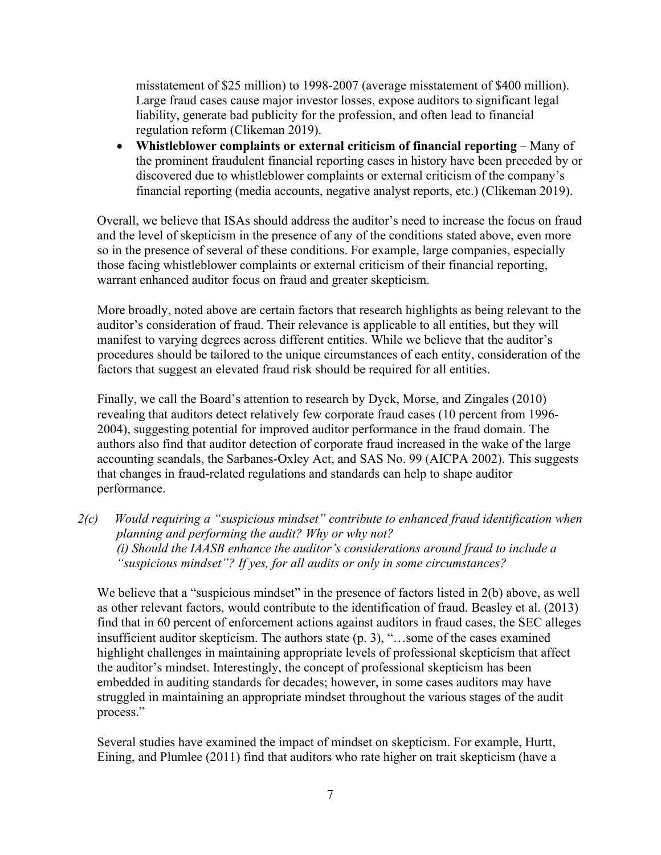misstatement of \$25 million) to 1998-2007 (average misstatement of \$400 million). Large fraud cases cause major investor losses, expose auditors to significant legal liability, generate bad publicity for the profession, and often lead to financial regulation reform (Clikeman 2019).

• **Whistleblower complaints or external criticism of financial reporting** – Many of the prominent fraudulent financial reporting cases in history have been preceded by or discovered due to whistleblower complaints or external criticism of the company's financial reporting (media accounts, negative analyst reports, etc.) (Clikeman 2019).

Overall, we believe that ISAs should address the auditor's need to increase the focus on fraud and the level of skepticism in the presence of any of the conditions stated above, even more so in the presence of several of these conditions. For example, large companies, especially those facing whistleblower complaints or external criticism of their financial reporting, warrant enhanced auditor focus on fraud and greater skepticism.

More broadly, noted above are certain factors that research highlights as being relevant to the auditor's consideration of fraud. Their relevance is applicable to all entities, but they will manifest to varying degrees across different entities. While we believe that the auditor's procedures should be tailored to the unique circumstances of each entity, consideration of the factors that suggest an elevated fraud risk should be required for all entities.

Finally, we call the Board's attention to research by Dyck, Morse, and Zingales (2010) revealing that auditors detect relatively few corporate fraud cases (10 percent from 1996- 2004), suggesting potential for improved auditor performance in the fraud domain. The authors also find that auditor detection of corporate fraud increased in the wake of the large accounting scandals, the Sarbanes-Oxley Act, and SAS No. 99 (AICPA 2002). This suggests that changes in fraud-related regulations and standards can help to shape auditor performance.

*2(c) Would requiring a "suspicious mindset" contribute to enhanced fraud identification when planning and performing the audit? Why or why not? (i) Should the IAASB enhance the auditor's considerations around fraud to include a "suspicious mindset"? If yes, for all audits or only in some circumstances?* 

We believe that a "suspicious mindset" in the presence of factors listed in 2(b) above, as well as other relevant factors, would contribute to the identification of fraud. Beasley et al. (2013) find that in 60 percent of enforcement actions against auditors in fraud cases, the SEC alleges insufficient auditor skepticism. The authors state (p. 3), "…some of the cases examined highlight challenges in maintaining appropriate levels of professional skepticism that affect the auditor's mindset. Interestingly, the concept of professional skepticism has been embedded in auditing standards for decades; however, in some cases auditors may have struggled in maintaining an appropriate mindset throughout the various stages of the audit process."

Several studies have examined the impact of mindset on skepticism. For example, Hurtt, Eining, and Plumlee (2011) find that auditors who rate higher on trait skepticism (have a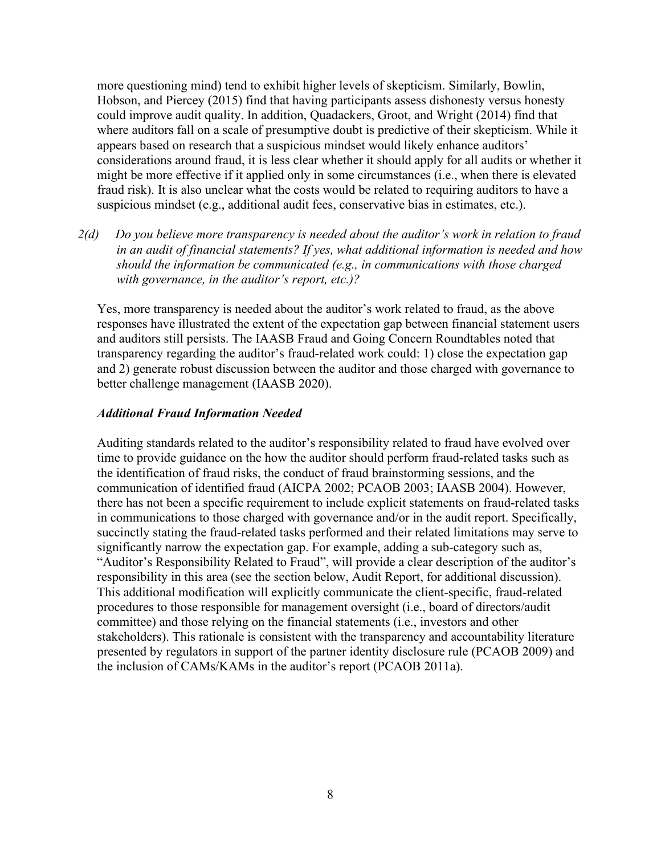more questioning mind) tend to exhibit higher levels of skepticism. Similarly, Bowlin, Hobson, and Piercey (2015) find that having participants assess dishonesty versus honesty could improve audit quality. In addition, Quadackers, Groot, and Wright (2014) find that where auditors fall on a scale of presumptive doubt is predictive of their skepticism. While it appears based on research that a suspicious mindset would likely enhance auditors' considerations around fraud, it is less clear whether it should apply for all audits or whether it might be more effective if it applied only in some circumstances (i.e., when there is elevated fraud risk). It is also unclear what the costs would be related to requiring auditors to have a suspicious mindset (e.g., additional audit fees, conservative bias in estimates, etc.).

*2(d) Do you believe more transparency is needed about the auditor's work in relation to fraud in an audit of financial statements? If yes, what additional information is needed and how should the information be communicated (e.g., in communications with those charged with governance, in the auditor's report, etc.)?*

Yes, more transparency is needed about the auditor's work related to fraud, as the above responses have illustrated the extent of the expectation gap between financial statement users and auditors still persists. The IAASB Fraud and Going Concern Roundtables noted that transparency regarding the auditor's fraud-related work could: 1) close the expectation gap and 2) generate robust discussion between the auditor and those charged with governance to better challenge management (IAASB 2020).

### *Additional Fraud Information Needed*

Auditing standards related to the auditor's responsibility related to fraud have evolved over time to provide guidance on the how the auditor should perform fraud-related tasks such as the identification of fraud risks, the conduct of fraud brainstorming sessions, and the communication of identified fraud (AICPA 2002; PCAOB 2003; IAASB 2004). However, there has not been a specific requirement to include explicit statements on fraud-related tasks in communications to those charged with governance and/or in the audit report. Specifically, succinctly stating the fraud-related tasks performed and their related limitations may serve to significantly narrow the expectation gap. For example, adding a sub-category such as, "Auditor's Responsibility Related to Fraud", will provide a clear description of the auditor's responsibility in this area (see the section below, Audit Report, for additional discussion). This additional modification will explicitly communicate the client-specific, fraud-related procedures to those responsible for management oversight (i.e., board of directors/audit committee) and those relying on the financial statements (i.e., investors and other stakeholders). This rationale is consistent with the transparency and accountability literature presented by regulators in support of the partner identity disclosure rule (PCAOB 2009) and the inclusion of CAMs/KAMs in the auditor's report (PCAOB 2011a).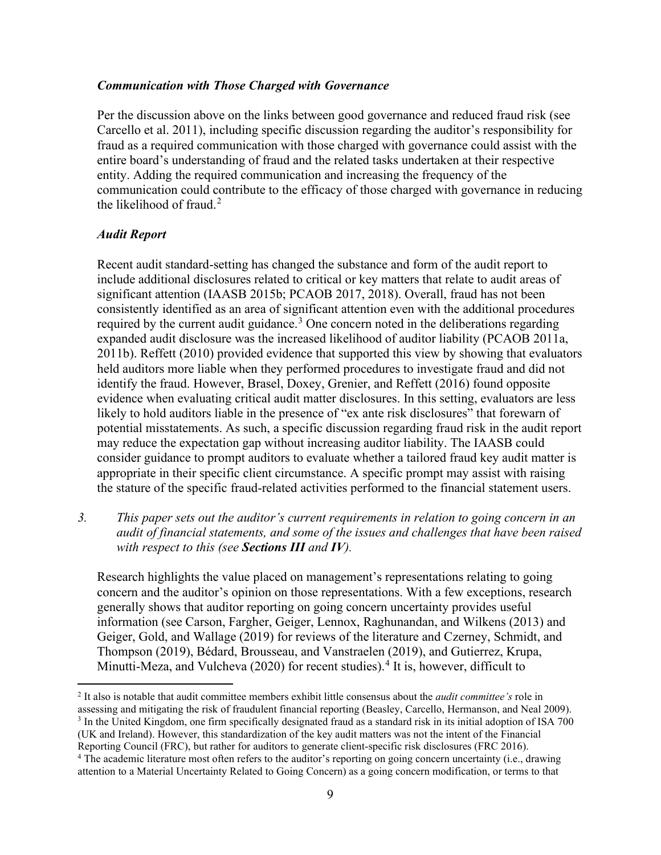#### *Communication with Those Charged with Governance*

Per the discussion above on the links between good governance and reduced fraud risk (see Carcello et al. 2011), including specific discussion regarding the auditor's responsibility for fraud as a required communication with those charged with governance could assist with the entire board's understanding of fraud and the related tasks undertaken at their respective entity. Adding the required communication and increasing the frequency of the communication could contribute to the efficacy of those charged with governance in reducing the likelihood of fraud.<sup>[2](#page-8-0)</sup>

#### *Audit Report*

Recent audit standard-setting has changed the substance and form of the audit report to include additional disclosures related to critical or key matters that relate to audit areas of significant attention (IAASB 2015b; PCAOB 2017, 2018). Overall, fraud has not been consistently identified as an area of significant attention even with the additional procedures required by the current audit guidance.<sup>[3](#page-8-1)</sup> One concern noted in the deliberations regarding expanded audit disclosure was the increased likelihood of auditor liability (PCAOB 2011a, 2011b). Reffett (2010) provided evidence that supported this view by showing that evaluators held auditors more liable when they performed procedures to investigate fraud and did not identify the fraud. However, Brasel, Doxey, Grenier, and Reffett (2016) found opposite evidence when evaluating critical audit matter disclosures. In this setting, evaluators are less likely to hold auditors liable in the presence of "ex ante risk disclosures" that forewarn of potential misstatements. As such, a specific discussion regarding fraud risk in the audit report may reduce the expectation gap without increasing auditor liability. The IAASB could consider guidance to prompt auditors to evaluate whether a tailored fraud key audit matter is appropriate in their specific client circumstance. A specific prompt may assist with raising the stature of the specific fraud-related activities performed to the financial statement users.

*3. This paper sets out the auditor's current requirements in relation to going concern in an audit of financial statements, and some of the issues and challenges that have been raised with respect to this (see Sections III and IV).* 

Research highlights the value placed on management's representations relating to going concern and the auditor's opinion on those representations. With a few exceptions, research generally shows that auditor reporting on going concern uncertainty provides useful information (see Carson, Fargher, Geiger, Lennox, Raghunandan, and Wilkens (2013) and Geiger, Gold, and Wallage (2019) for reviews of the literature and Czerney, Schmidt, and Thompson (2019), Bédard, Brousseau, and Vanstraelen (2019), and Gutierrez, Krupa, Minutti-Meza, and Vulcheva (2020) for recent studies).<sup>[4](#page-8-2)</sup> It is, however, difficult to

<span id="page-8-2"></span><span id="page-8-1"></span><span id="page-8-0"></span><sup>2</sup> It also is notable that audit committee members exhibit little consensus about the *audit committee's* role in assessing and mitigating the risk of fraudulent financial reporting (Beasley, Carcello, Hermanson, and Neal 2009). <sup>3</sup> In the United Kingdom, one firm specifically designated fraud as a standard risk in its initial adoption of ISA 700 (UK and Ireland). However, this standardization of the key audit matters was not the intent of the Financial Reporting Council (FRC), but rather for auditors to generate client-specific risk disclosures (FRC 2016). <sup>4</sup> The academic literature most often refers to the auditor's reporting on going concern uncertainty (i.e., drawing attention to a Material Uncertainty Related to Going Concern) as a going concern modification, or terms to that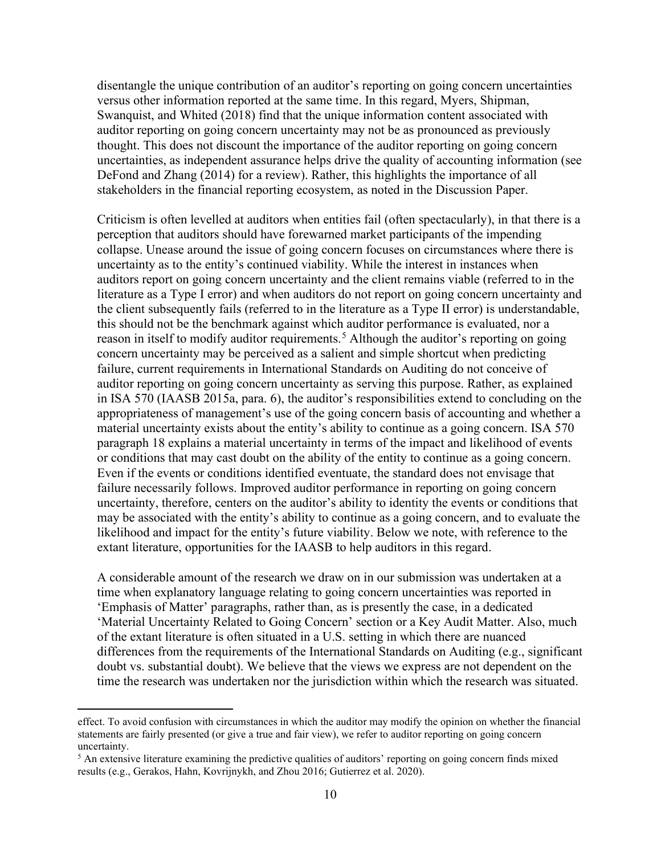disentangle the unique contribution of an auditor's reporting on going concern uncertainties versus other information reported at the same time. In this regard, Myers, Shipman, Swanquist, and Whited (2018) find that the unique information content associated with auditor reporting on going concern uncertainty may not be as pronounced as previously thought. This does not discount the importance of the auditor reporting on going concern uncertainties, as independent assurance helps drive the quality of accounting information (see DeFond and Zhang (2014) for a review). Rather, this highlights the importance of all stakeholders in the financial reporting ecosystem, as noted in the Discussion Paper.

Criticism is often levelled at auditors when entities fail (often spectacularly), in that there is a perception that auditors should have forewarned market participants of the impending collapse. Unease around the issue of going concern focuses on circumstances where there is uncertainty as to the entity's continued viability. While the interest in instances when auditors report on going concern uncertainty and the client remains viable (referred to in the literature as a Type I error) and when auditors do not report on going concern uncertainty and the client subsequently fails (referred to in the literature as a Type II error) is understandable, this should not be the benchmark against which auditor performance is evaluated, nor a reason in itself to modify auditor requirements.<sup>[5](#page-9-0)</sup> Although the auditor's reporting on going concern uncertainty may be perceived as a salient and simple shortcut when predicting failure, current requirements in International Standards on Auditing do not conceive of auditor reporting on going concern uncertainty as serving this purpose. Rather, as explained in ISA 570 (IAASB 2015a, para. 6), the auditor's responsibilities extend to concluding on the appropriateness of management's use of the going concern basis of accounting and whether a material uncertainty exists about the entity's ability to continue as a going concern. ISA 570 paragraph 18 explains a material uncertainty in terms of the impact and likelihood of events or conditions that may cast doubt on the ability of the entity to continue as a going concern. Even if the events or conditions identified eventuate, the standard does not envisage that failure necessarily follows. Improved auditor performance in reporting on going concern uncertainty, therefore, centers on the auditor's ability to identity the events or conditions that may be associated with the entity's ability to continue as a going concern, and to evaluate the likelihood and impact for the entity's future viability. Below we note, with reference to the extant literature, opportunities for the IAASB to help auditors in this regard.

A considerable amount of the research we draw on in our submission was undertaken at a time when explanatory language relating to going concern uncertainties was reported in 'Emphasis of Matter' paragraphs, rather than, as is presently the case, in a dedicated 'Material Uncertainty Related to Going Concern' section or a Key Audit Matter. Also, much of the extant literature is often situated in a U.S. setting in which there are nuanced differences from the requirements of the International Standards on Auditing (e.g., significant doubt vs. substantial doubt). We believe that the views we express are not dependent on the time the research was undertaken nor the jurisdiction within which the research was situated.

effect. To avoid confusion with circumstances in which the auditor may modify the opinion on whether the financial statements are fairly presented (or give a true and fair view), we refer to auditor reporting on going concern uncertainty.

<span id="page-9-0"></span><sup>&</sup>lt;sup>5</sup> An extensive literature examining the predictive qualities of auditors' reporting on going concern finds mixed results (e.g., Gerakos, Hahn, Kovrijnykh, and Zhou 2016; Gutierrez et al. 2020).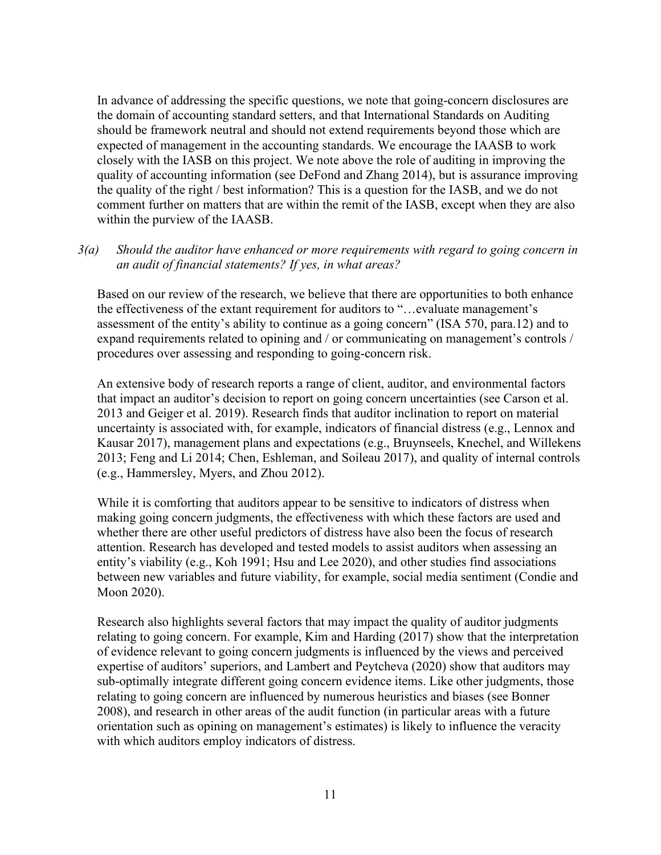In advance of addressing the specific questions, we note that going-concern disclosures are the domain of accounting standard setters, and that International Standards on Auditing should be framework neutral and should not extend requirements beyond those which are expected of management in the accounting standards. We encourage the IAASB to work closely with the IASB on this project. We note above the role of auditing in improving the quality of accounting information (see DeFond and Zhang 2014), but is assurance improving the quality of the right / best information? This is a question for the IASB, and we do not comment further on matters that are within the remit of the IASB, except when they are also within the purview of the IAASB.

### *3(a) Should the auditor have enhanced or more requirements with regard to going concern in an audit of financial statements? If yes, in what areas?*

Based on our review of the research, we believe that there are opportunities to both enhance the effectiveness of the extant requirement for auditors to "…evaluate management's assessment of the entity's ability to continue as a going concern" (ISA 570, para.12) and to expand requirements related to opining and / or communicating on management's controls / procedures over assessing and responding to going-concern risk.

An extensive body of research reports a range of client, auditor, and environmental factors that impact an auditor's decision to report on going concern uncertainties (see Carson et al. 2013 and Geiger et al. 2019). Research finds that auditor inclination to report on material uncertainty is associated with, for example, indicators of financial distress (e.g., Lennox and Kausar 2017), management plans and expectations (e.g., Bruynseels, Knechel, and Willekens 2013; Feng and Li 2014; Chen, Eshleman, and Soileau 2017), and quality of internal controls (e.g., Hammersley, Myers, and Zhou 2012).

While it is comforting that auditors appear to be sensitive to indicators of distress when making going concern judgments, the effectiveness with which these factors are used and whether there are other useful predictors of distress have also been the focus of research attention. Research has developed and tested models to assist auditors when assessing an entity's viability (e.g., Koh 1991; Hsu and Lee 2020), and other studies find associations between new variables and future viability, for example, social media sentiment (Condie and Moon 2020).

Research also highlights several factors that may impact the quality of auditor judgments relating to going concern. For example, Kim and Harding (2017) show that the interpretation of evidence relevant to going concern judgments is influenced by the views and perceived expertise of auditors' superiors, and Lambert and Peytcheva (2020) show that auditors may sub-optimally integrate different going concern evidence items. Like other judgments, those relating to going concern are influenced by numerous heuristics and biases (see Bonner 2008), and research in other areas of the audit function (in particular areas with a future orientation such as opining on management's estimates) is likely to influence the veracity with which auditors employ indicators of distress.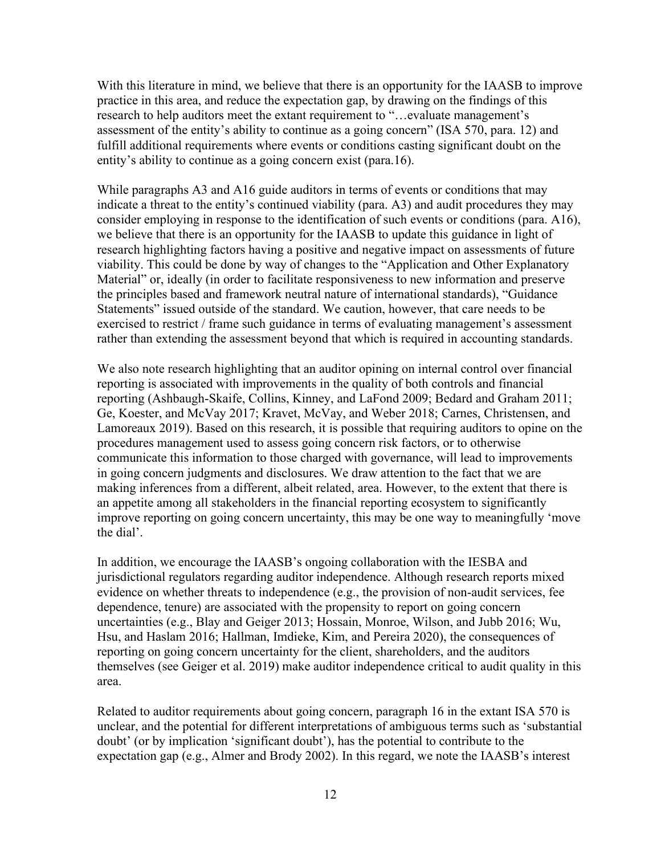With this literature in mind, we believe that there is an opportunity for the IAASB to improve practice in this area, and reduce the expectation gap, by drawing on the findings of this research to help auditors meet the extant requirement to "…evaluate management's assessment of the entity's ability to continue as a going concern" (ISA 570, para. 12) and fulfill additional requirements where events or conditions casting significant doubt on the entity's ability to continue as a going concern exist (para.16).

While paragraphs A3 and A16 guide auditors in terms of events or conditions that may indicate a threat to the entity's continued viability (para. A3) and audit procedures they may consider employing in response to the identification of such events or conditions (para. A16), we believe that there is an opportunity for the IAASB to update this guidance in light of research highlighting factors having a positive and negative impact on assessments of future viability. This could be done by way of changes to the "Application and Other Explanatory Material" or, ideally (in order to facilitate responsiveness to new information and preserve the principles based and framework neutral nature of international standards), "Guidance Statements" issued outside of the standard. We caution, however, that care needs to be exercised to restrict / frame such guidance in terms of evaluating management's assessment rather than extending the assessment beyond that which is required in accounting standards.

We also note research highlighting that an auditor opining on internal control over financial reporting is associated with improvements in the quality of both controls and financial reporting (Ashbaugh-Skaife, Collins, Kinney, and LaFond 2009; Bedard and Graham 2011; Ge, Koester, and McVay 2017; Kravet, McVay, and Weber 2018; Carnes, Christensen, and Lamoreaux 2019). Based on this research, it is possible that requiring auditors to opine on the procedures management used to assess going concern risk factors, or to otherwise communicate this information to those charged with governance, will lead to improvements in going concern judgments and disclosures. We draw attention to the fact that we are making inferences from a different, albeit related, area. However, to the extent that there is an appetite among all stakeholders in the financial reporting ecosystem to significantly improve reporting on going concern uncertainty, this may be one way to meaningfully 'move the dial'.

In addition, we encourage the IAASB's ongoing collaboration with the IESBA and jurisdictional regulators regarding auditor independence. Although research reports mixed evidence on whether threats to independence (e.g., the provision of non-audit services, fee dependence, tenure) are associated with the propensity to report on going concern uncertainties (e.g., Blay and Geiger 2013; Hossain, Monroe, Wilson, and Jubb 2016; Wu, Hsu, and Haslam 2016; Hallman, Imdieke, Kim, and Pereira 2020), the consequences of reporting on going concern uncertainty for the client, shareholders, and the auditors themselves (see Geiger et al. 2019) make auditor independence critical to audit quality in this area.

Related to auditor requirements about going concern, paragraph 16 in the extant ISA 570 is unclear, and the potential for different interpretations of ambiguous terms such as 'substantial doubt' (or by implication 'significant doubt'), has the potential to contribute to the expectation gap (e.g., Almer and Brody 2002). In this regard, we note the IAASB's interest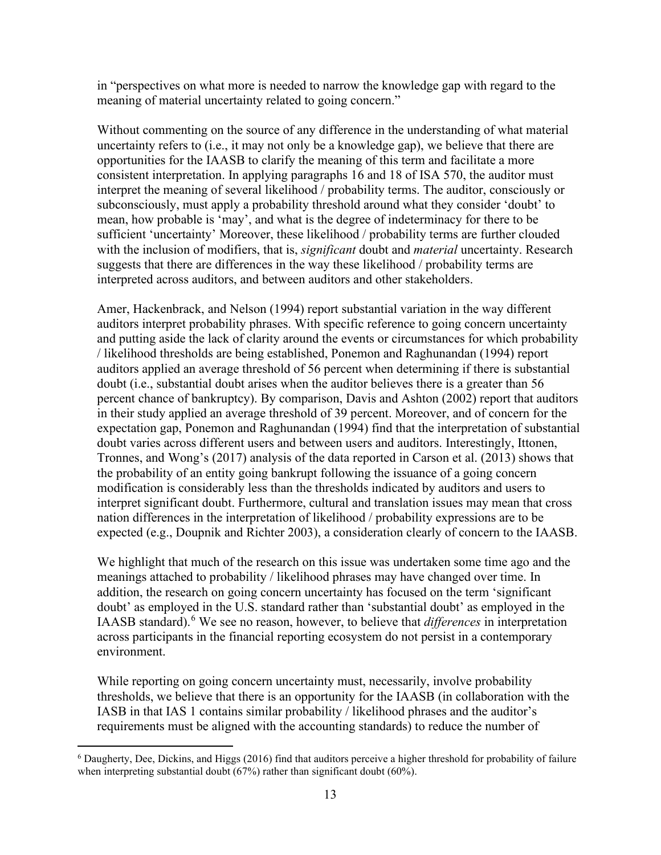in "perspectives on what more is needed to narrow the knowledge gap with regard to the meaning of material uncertainty related to going concern."

Without commenting on the source of any difference in the understanding of what material uncertainty refers to (i.e., it may not only be a knowledge gap), we believe that there are opportunities for the IAASB to clarify the meaning of this term and facilitate a more consistent interpretation. In applying paragraphs 16 and 18 of ISA 570, the auditor must interpret the meaning of several likelihood / probability terms. The auditor, consciously or subconsciously, must apply a probability threshold around what they consider 'doubt' to mean, how probable is 'may', and what is the degree of indeterminacy for there to be sufficient 'uncertainty' Moreover, these likelihood / probability terms are further clouded with the inclusion of modifiers, that is, *significant* doubt and *material* uncertainty. Research suggests that there are differences in the way these likelihood / probability terms are interpreted across auditors, and between auditors and other stakeholders.

Amer, Hackenbrack, and Nelson (1994) report substantial variation in the way different auditors interpret probability phrases. With specific reference to going concern uncertainty and putting aside the lack of clarity around the events or circumstances for which probability / likelihood thresholds are being established, Ponemon and Raghunandan (1994) report auditors applied an average threshold of 56 percent when determining if there is substantial doubt (i.e., substantial doubt arises when the auditor believes there is a greater than 56 percent chance of bankruptcy). By comparison, Davis and Ashton (2002) report that auditors in their study applied an average threshold of 39 percent. Moreover, and of concern for the expectation gap, Ponemon and Raghunandan (1994) find that the interpretation of substantial doubt varies across different users and between users and auditors. Interestingly, Ittonen, Tronnes, and Wong's (2017) analysis of the data reported in Carson et al. (2013) shows that the probability of an entity going bankrupt following the issuance of a going concern modification is considerably less than the thresholds indicated by auditors and users to interpret significant doubt. Furthermore, cultural and translation issues may mean that cross nation differences in the interpretation of likelihood / probability expressions are to be expected (e.g., Doupnik and Richter 2003), a consideration clearly of concern to the IAASB.

We highlight that much of the research on this issue was undertaken some time ago and the meanings attached to probability / likelihood phrases may have changed over time. In addition, the research on going concern uncertainty has focused on the term 'significant doubt' as employed in the U.S. standard rather than 'substantial doubt' as employed in the IAASB standard). [6](#page-12-0) We see no reason, however, to believe that *differences* in interpretation across participants in the financial reporting ecosystem do not persist in a contemporary environment.

While reporting on going concern uncertainty must, necessarily, involve probability thresholds, we believe that there is an opportunity for the IAASB (in collaboration with the IASB in that IAS 1 contains similar probability / likelihood phrases and the auditor's requirements must be aligned with the accounting standards) to reduce the number of

<span id="page-12-0"></span><sup>&</sup>lt;sup>6</sup> Daugherty, Dee, Dickins, and Higgs (2016) find that auditors perceive a higher threshold for probability of failure when interpreting substantial doubt (67%) rather than significant doubt (60%).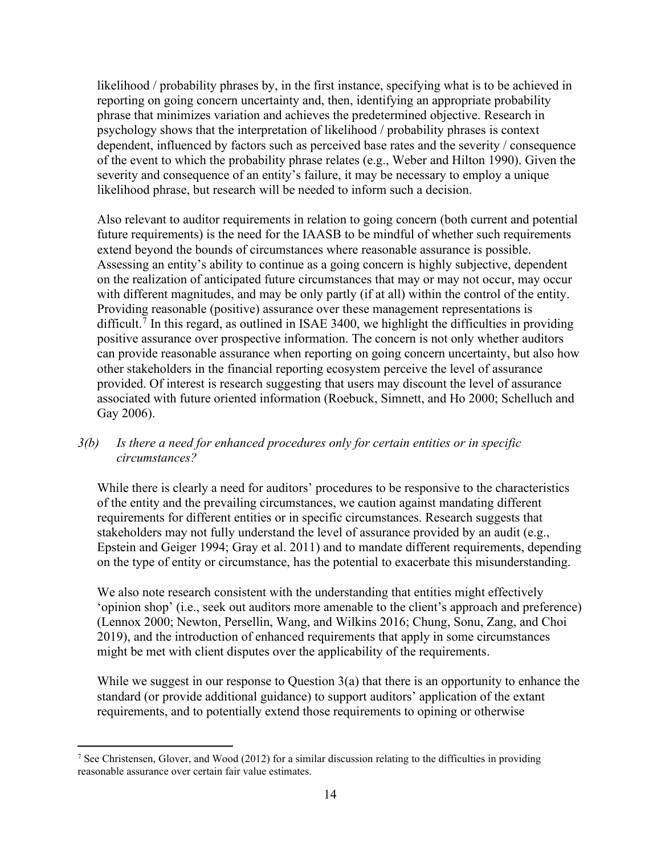likelihood / probability phrases by, in the first instance, specifying what is to be achieved in reporting on going concern uncertainty and, then, identifying an appropriate probability phrase that minimizes variation and achieves the predetermined objective. Research in psychology shows that the interpretation of likelihood / probability phrases is context dependent, influenced by factors such as perceived base rates and the severity / consequence of the event to which the probability phrase relates (e.g., Weber and Hilton 1990). Given the severity and consequence of an entity's failure, it may be necessary to employ a unique likelihood phrase, but research will be needed to inform such a decision.

Also relevant to auditor requirements in relation to going concern (both current and potential future requirements) is the need for the IAASB to be mindful of whether such requirements extend beyond the bounds of circumstances where reasonable assurance is possible. Assessing an entity's ability to continue as a going concern is highly subjective, dependent on the realization of anticipated future circumstances that may or may not occur, may occur with different magnitudes, and may be only partly (if at all) within the control of the entity. Providing reasonable (positive) assurance over these management representations is difficult.<sup>[7](#page-13-0)</sup> In this regard, as outlined in ISAE 3400, we highlight the difficulties in providing positive assurance over prospective information. The concern is not only whether auditors can provide reasonable assurance when reporting on going concern uncertainty, but also how other stakeholders in the financial reporting ecosystem perceive the level of assurance provided. Of interest is research suggesting that users may discount the level of assurance associated with future oriented information (Roebuck, Simnett, and Ho 2000; Schelluch and Gay 2006).

## *3(b) Is there a need for enhanced procedures only for certain entities or in specific circumstances?*

While there is clearly a need for auditors' procedures to be responsive to the characteristics of the entity and the prevailing circumstances, we caution against mandating different requirements for different entities or in specific circumstances. Research suggests that stakeholders may not fully understand the level of assurance provided by an audit (e.g., Epstein and Geiger 1994; Gray et al. 2011) and to mandate different requirements, depending on the type of entity or circumstance, has the potential to exacerbate this misunderstanding.

We also note research consistent with the understanding that entities might effectively 'opinion shop' (i.e., seek out auditors more amenable to the client's approach and preference) (Lennox 2000; Newton, Persellin, Wang, and Wilkins 2016; Chung, Sonu, Zang, and Choi 2019), and the introduction of enhanced requirements that apply in some circumstances might be met with client disputes over the applicability of the requirements.

While we suggest in our response to Question 3(a) that there is an opportunity to enhance the standard (or provide additional guidance) to support auditors' application of the extant requirements, and to potentially extend those requirements to opining or otherwise

<span id="page-13-0"></span><sup>&</sup>lt;sup>7</sup> See Christensen, Glover, and Wood (2012) for a similar discussion relating to the difficulties in providing reasonable assurance over certain fair value estimates.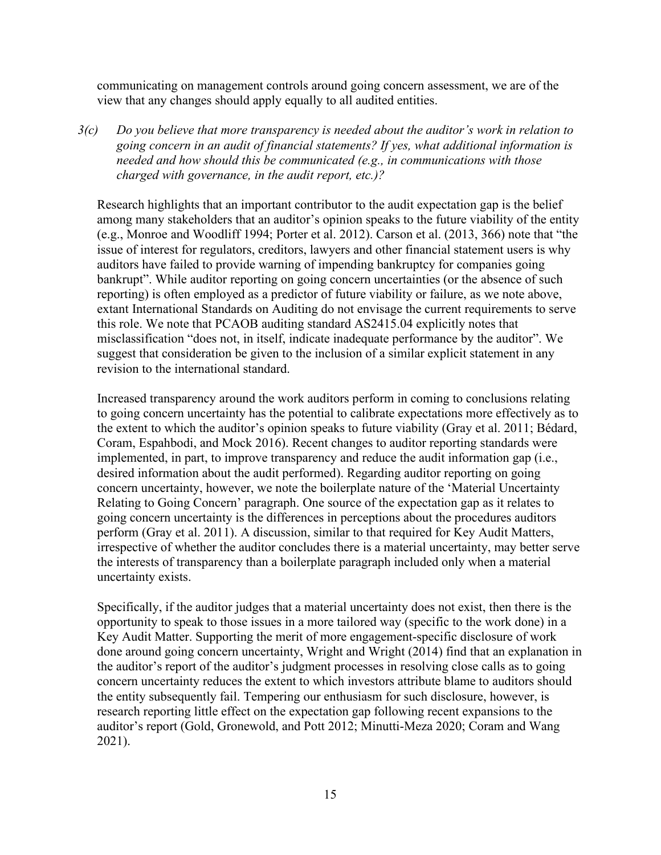communicating on management controls around going concern assessment, we are of the view that any changes should apply equally to all audited entities.

*3(c) Do you believe that more transparency is needed about the auditor's work in relation to going concern in an audit of financial statements? If yes, what additional information is needed and how should this be communicated (e.g., in communications with those charged with governance, in the audit report, etc.)?*

Research highlights that an important contributor to the audit expectation gap is the belief among many stakeholders that an auditor's opinion speaks to the future viability of the entity (e.g., Monroe and Woodliff 1994; Porter et al. 2012). Carson et al. (2013, 366) note that "the issue of interest for regulators, creditors, lawyers and other financial statement users is why auditors have failed to provide warning of impending bankruptcy for companies going bankrupt". While auditor reporting on going concern uncertainties (or the absence of such reporting) is often employed as a predictor of future viability or failure, as we note above, extant International Standards on Auditing do not envisage the current requirements to serve this role. We note that PCAOB auditing standard AS2415.04 explicitly notes that misclassification "does not, in itself, indicate inadequate performance by the auditor". We suggest that consideration be given to the inclusion of a similar explicit statement in any revision to the international standard.

Increased transparency around the work auditors perform in coming to conclusions relating to going concern uncertainty has the potential to calibrate expectations more effectively as to the extent to which the auditor's opinion speaks to future viability (Gray et al. 2011; Bédard, Coram, Espahbodi, and Mock 2016). Recent changes to auditor reporting standards were implemented, in part, to improve transparency and reduce the audit information gap (i.e., desired information about the audit performed). Regarding auditor reporting on going concern uncertainty, however, we note the boilerplate nature of the 'Material Uncertainty Relating to Going Concern' paragraph. One source of the expectation gap as it relates to going concern uncertainty is the differences in perceptions about the procedures auditors perform (Gray et al. 2011). A discussion, similar to that required for Key Audit Matters, irrespective of whether the auditor concludes there is a material uncertainty, may better serve the interests of transparency than a boilerplate paragraph included only when a material uncertainty exists.

Specifically, if the auditor judges that a material uncertainty does not exist, then there is the opportunity to speak to those issues in a more tailored way (specific to the work done) in a Key Audit Matter. Supporting the merit of more engagement-specific disclosure of work done around going concern uncertainty, Wright and Wright (2014) find that an explanation in the auditor's report of the auditor's judgment processes in resolving close calls as to going concern uncertainty reduces the extent to which investors attribute blame to auditors should the entity subsequently fail. Tempering our enthusiasm for such disclosure, however, is research reporting little effect on the expectation gap following recent expansions to the auditor's report (Gold, Gronewold, and Pott 2012; Minutti-Meza 2020; Coram and Wang 2021).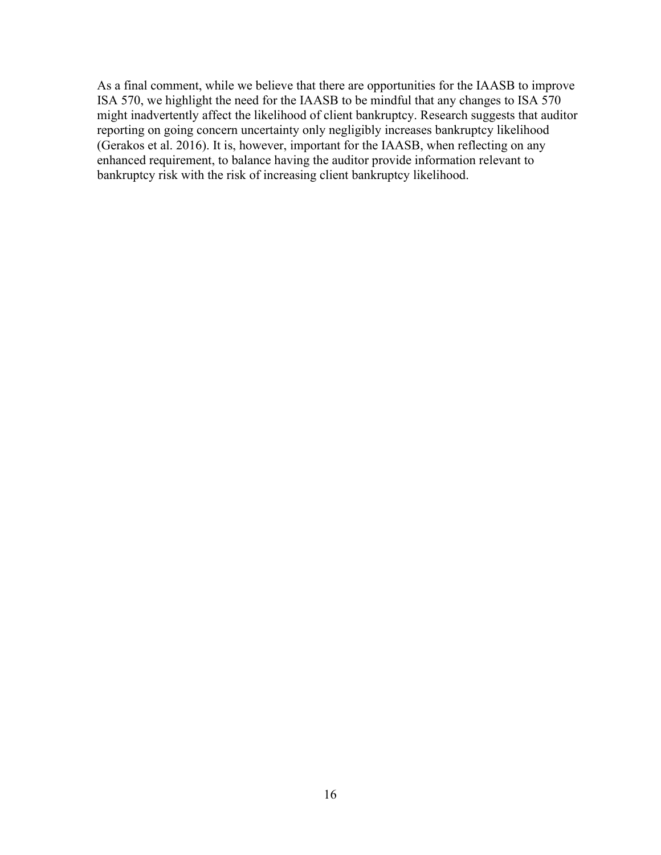As a final comment, while we believe that there are opportunities for the IAASB to improve ISA 570, we highlight the need for the IAASB to be mindful that any changes to ISA 570 might inadvertently affect the likelihood of client bankruptcy. Research suggests that auditor reporting on going concern uncertainty only negligibly increases bankruptcy likelihood (Gerakos et al. 2016). It is, however, important for the IAASB, when reflecting on any enhanced requirement, to balance having the auditor provide information relevant to bankruptcy risk with the risk of increasing client bankruptcy likelihood.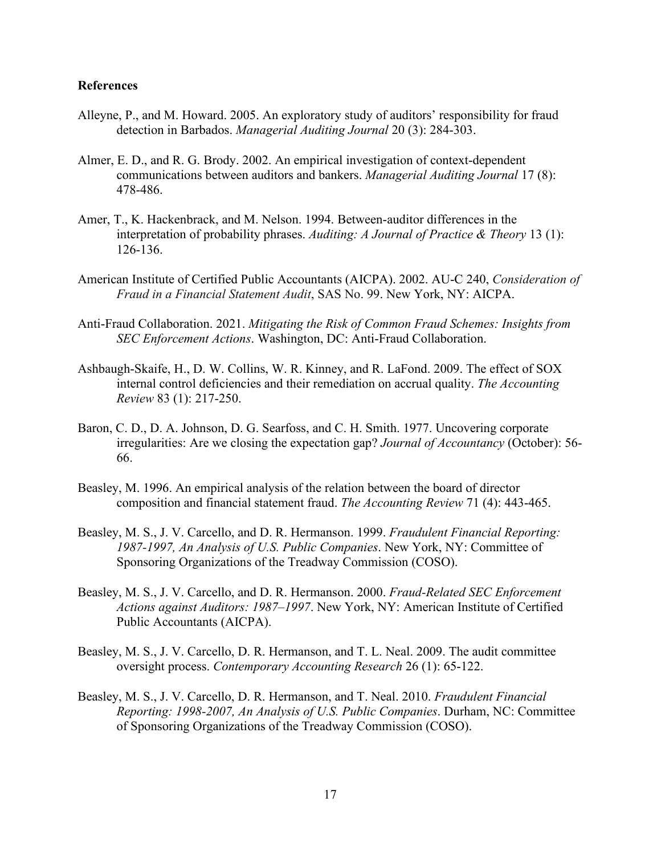#### **References**

- Alleyne, P., and M. Howard. 2005. An exploratory study of auditors' responsibility for fraud detection in Barbados. *Managerial Auditing Journal* 20 (3): 284-303.
- Almer, E. D., and R. G. Brody. 2002. An empirical investigation of context-dependent communications between auditors and bankers. *Managerial Auditing Journal* 17 (8): 478-486.
- Amer, T., K. Hackenbrack, and M. Nelson. 1994. Between-auditor differences in the interpretation of probability phrases. *Auditing: A Journal of Practice & Theory* 13 (1): 126-136.
- American Institute of Certified Public Accountants (AICPA). 2002. AU-C 240, *Consideration of Fraud in a Financial Statement Audit*, SAS No. 99. New York, NY: AICPA.
- Anti-Fraud Collaboration. 2021. *Mitigating the Risk of Common Fraud Schemes: Insights from SEC Enforcement Actions*. Washington, DC: Anti-Fraud Collaboration.
- Ashbaugh-Skaife, H., D. W. Collins, W. R. Kinney, and R. LaFond. 2009. The effect of SOX internal control deficiencies and their remediation on accrual quality. *The Accounting Review* 83 (1): 217-250.
- Baron, C. D., D. A. Johnson, D. G. Searfoss, and C. H. Smith. 1977. Uncovering corporate irregularities: Are we closing the expectation gap? *Journal of Accountancy* (October): 56- 66.
- Beasley, M. 1996. An empirical analysis of the relation between the board of director composition and financial statement fraud. *The Accounting Review* 71 (4): 443-465.
- Beasley, M. S., J. V. Carcello, and D. R. Hermanson. 1999. *Fraudulent Financial Reporting: 1987-1997, An Analysis of U.S. Public Companies*. New York, NY: Committee of Sponsoring Organizations of the Treadway Commission (COSO).
- Beasley, M. S., J. V. Carcello, and D. R. Hermanson. 2000. *Fraud-Related SEC Enforcement Actions against Auditors: 1987–1997*. New York, NY: American Institute of Certified Public Accountants (AICPA).
- Beasley, M. S., J. V. Carcello, D. R. Hermanson, and T. L. Neal. 2009. The audit committee oversight process. *Contemporary Accounting Research* 26 (1): 65-122.
- Beasley, M. S., J. V. Carcello, D. R. Hermanson, and T. Neal. 2010. *Fraudulent Financial Reporting: 1998-2007, An Analysis of U.S. Public Companies*. Durham, NC: Committee of Sponsoring Organizations of the Treadway Commission (COSO).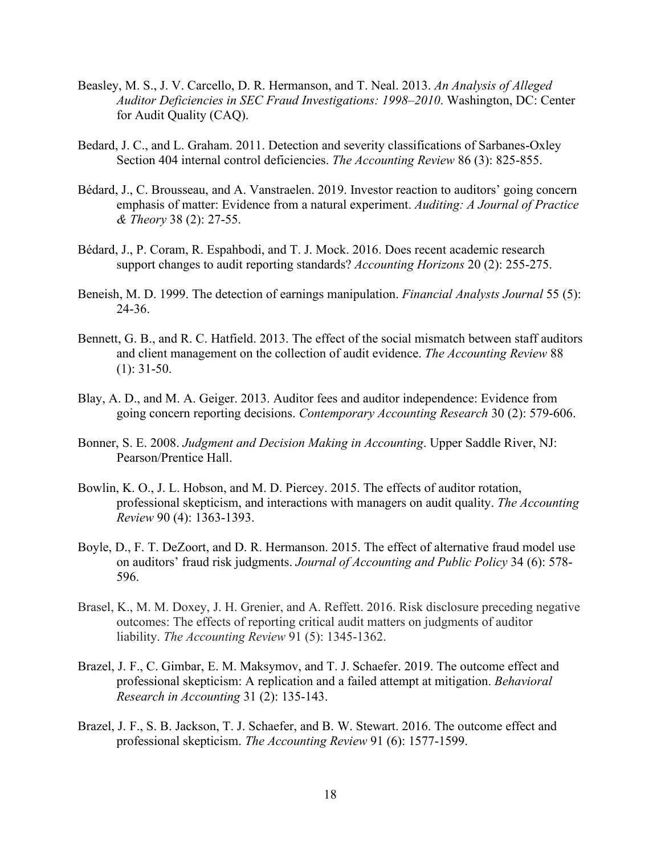- Beasley, M. S., J. V. Carcello, D. R. Hermanson, and T. Neal. 2013. *An Analysis of Alleged Auditor Deficiencies in SEC Fraud Investigations: 1998–2010*. Washington, DC: Center for Audit Quality (CAQ).
- Bedard, J. C., and L. Graham. 2011. Detection and severity classifications of Sarbanes-Oxley Section 404 internal control deficiencies. *The Accounting Review* 86 (3): 825-855.
- Bédard, J., C. Brousseau, and A. Vanstraelen. 2019. Investor reaction to auditors' going concern emphasis of matter: Evidence from a natural experiment. *Auditing: A Journal of Practice & Theory* 38 (2): 27-55.
- Bédard, J., P. Coram, R. Espahbodi, and T. J. Mock. 2016. Does recent academic research support changes to audit reporting standards? *Accounting Horizons* 20 (2): 255-275.
- Beneish, M. D. 1999. The detection of earnings manipulation. *Financial Analysts Journal* 55 (5): 24-36.
- Bennett, G. B., and R. C. Hatfield. 2013. The effect of the social mismatch between staff auditors and client management on the collection of audit evidence. *The Accounting Review* 88 (1): 31-50.
- Blay, A. D., and M. A. Geiger. 2013. Auditor fees and auditor independence: Evidence from going concern reporting decisions. *Contemporary Accounting Research* 30 (2): 579-606.
- Bonner, S. E. 2008. *Judgment and Decision Making in Accounting*. Upper Saddle River, NJ: Pearson/Prentice Hall.
- Bowlin, K. O., J. L. Hobson, and M. D. Piercey. 2015. The effects of auditor rotation, professional skepticism, and interactions with managers on audit quality. *The Accounting Review* 90 (4): 1363-1393.
- Boyle, D., F. T. DeZoort, and D. R. Hermanson. 2015. The effect of alternative fraud model use on auditors' fraud risk judgments. *Journal of Accounting and Public Policy* 34 (6): 578- 596.
- Brasel, K., M. M. Doxey, J. H. Grenier, and A. Reffett. 2016. Risk disclosure preceding negative outcomes: The effects of reporting critical audit matters on judgments of auditor liability. *The Accounting Review* 91 (5): 1345-1362.
- Brazel, J. F., C. Gimbar, E. M. Maksymov, and T. J. Schaefer. 2019. The outcome effect and professional skepticism: A replication and a failed attempt at mitigation. *Behavioral Research in Accounting* 31 (2): 135-143.
- Brazel, J. F., S. B. Jackson, T. J. Schaefer, and B. W. Stewart. 2016. The outcome effect and professional skepticism. *The Accounting Review* 91 (6): 1577-1599.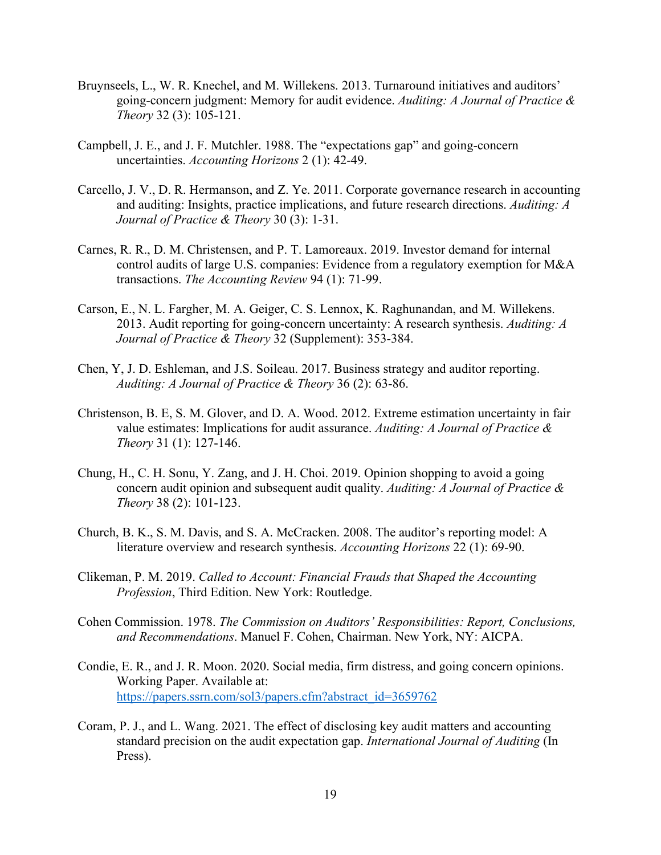- Bruynseels, L., W. R. Knechel, and M. Willekens. 2013. Turnaround initiatives and auditors' going-concern judgment: Memory for audit evidence. *Auditing: A Journal of Practice & Theory* 32 (3): 105-121.
- Campbell, J. E., and J. F. Mutchler. 1988. The "expectations gap" and going-concern uncertainties. *Accounting Horizons* 2 (1): 42-49.
- Carcello, J. V., D. R. Hermanson, and Z. Ye. 2011. Corporate governance research in accounting and auditing: Insights, practice implications, and future research directions. *Auditing: A Journal of Practice & Theory* 30 (3): 1-31.
- Carnes, R. R., D. M. Christensen, and P. T. Lamoreaux. 2019. Investor demand for internal control audits of large U.S. companies: Evidence from a regulatory exemption for M&A transactions. *The Accounting Review* 94 (1): 71-99.
- Carson, E., N. L. Fargher, M. A. Geiger, C. S. Lennox, K. Raghunandan, and M. Willekens. 2013. Audit reporting for going-concern uncertainty: A research synthesis. *Auditing: A Journal of Practice & Theory* 32 (Supplement): 353-384.
- Chen, Y, J. D. Eshleman, and J.S. Soileau. 2017. Business strategy and auditor reporting. *Auditing: A Journal of Practice & Theory* 36 (2): 63-86.
- Christenson, B. E, S. M. Glover, and D. A. Wood. 2012. Extreme estimation uncertainty in fair value estimates: Implications for audit assurance. *Auditing: A Journal of Practice & Theory* 31 (1): 127-146.
- Chung, H., C. H. Sonu, Y. Zang, and J. H. Choi. 2019. Opinion shopping to avoid a going concern audit opinion and subsequent audit quality. *Auditing: A Journal of Practice & Theory* 38 (2): 101-123.
- Church, B. K., S. M. Davis, and S. A. McCracken. 2008. The auditor's reporting model: A literature overview and research synthesis. *Accounting Horizons* 22 (1): 69-90.
- Clikeman, P. M. 2019. *Called to Account: Financial Frauds that Shaped the Accounting Profession*, Third Edition. New York: Routledge.
- Cohen Commission. 1978. *The Commission on Auditors' Responsibilities: Report, Conclusions, and Recommendations*. Manuel F. Cohen, Chairman. New York, NY: AICPA.
- Condie, E. R., and J. R. Moon. 2020. Social media, firm distress, and going concern opinions. Working Paper. Available at: [https://papers.ssrn.com/sol3/papers.cfm?abstract\\_id=3659762](https://papers.ssrn.com/sol3/papers.cfm?abstract_id=3659762)
- Coram, P. J., and L. Wang. 2021. The effect of disclosing key audit matters and accounting standard precision on the audit expectation gap. *International Journal of Auditing* (In Press).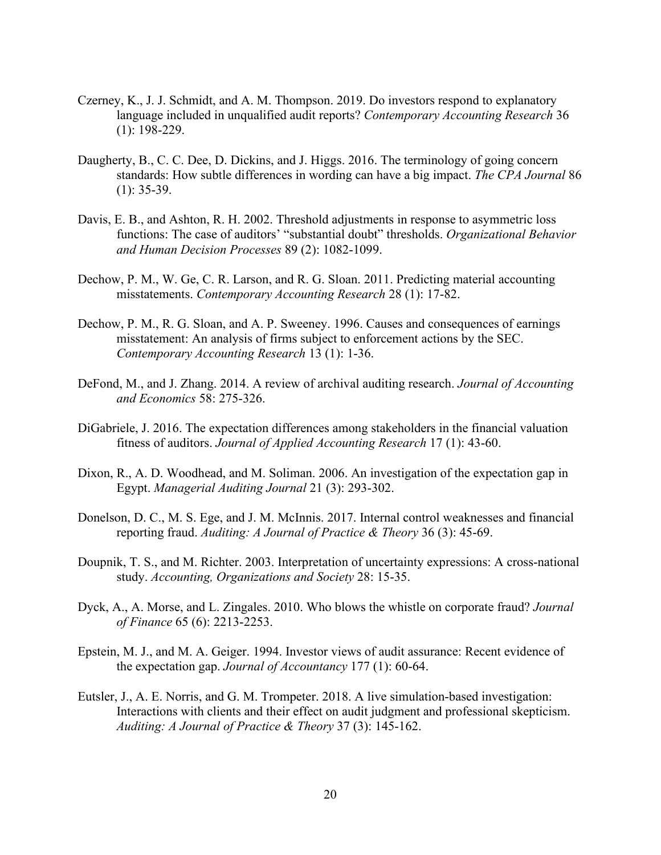- Czerney, K., J. J. Schmidt, and A. M. Thompson. 2019. Do investors respond to explanatory language included in unqualified audit reports? *Contemporary Accounting Research* 36 (1): 198-229.
- Daugherty, B., C. C. Dee, D. Dickins, and J. Higgs. 2016. The terminology of going concern standards: How subtle differences in wording can have a big impact. *The CPA Journal* 86  $(1): 35-39.$
- Davis, E. B., and Ashton, R. H. 2002. Threshold adjustments in response to asymmetric loss functions: The case of auditors' "substantial doubt" thresholds. *Organizational Behavior and Human Decision Processes* 89 (2): 1082-1099.
- Dechow, P. M., W. Ge, C. R. Larson, and R. G. Sloan. 2011. Predicting material accounting misstatements. *Contemporary Accounting Research* 28 (1): 17-82.
- Dechow, P. M., R. G. Sloan, and A. P. Sweeney. 1996. Causes and consequences of earnings misstatement: An analysis of firms subject to enforcement actions by the SEC. *Contemporary Accounting Research* 13 (1): 1-36.
- DeFond, M., and J. Zhang. 2014. A review of archival auditing research. *Journal of Accounting and Economics* 58: 275-326.
- DiGabriele, J. 2016. The expectation differences among stakeholders in the financial valuation fitness of auditors. *Journal of Applied Accounting Research* 17 (1): 43-60.
- Dixon, R., A. D. Woodhead, and M. Soliman. 2006. An investigation of the expectation gap in Egypt. *Managerial Auditing Journal* 21 (3): 293-302.
- Donelson, D. C., M. S. Ege, and J. M. McInnis. 2017. Internal control weaknesses and financial reporting fraud. *Auditing: A Journal of Practice & Theory* 36 (3): 45-69.
- Doupnik, T. S., and M. Richter. 2003. Interpretation of uncertainty expressions: A cross-national study. *Accounting, Organizations and Society* 28: 15-35.
- Dyck, A., A. Morse, and L. Zingales. 2010. Who blows the whistle on corporate fraud? *Journal of Finance* 65 (6): 2213-2253.
- Epstein, M. J., and M. A. Geiger. 1994. Investor views of audit assurance: Recent evidence of the expectation gap. *Journal of Accountancy* 177 (1): 60-64.
- Eutsler, J., A. E. Norris, and G. M. Trompeter. 2018. A live simulation-based investigation: Interactions with clients and their effect on audit judgment and professional skepticism. *Auditing: A Journal of Practice & Theory* 37 (3): 145-162.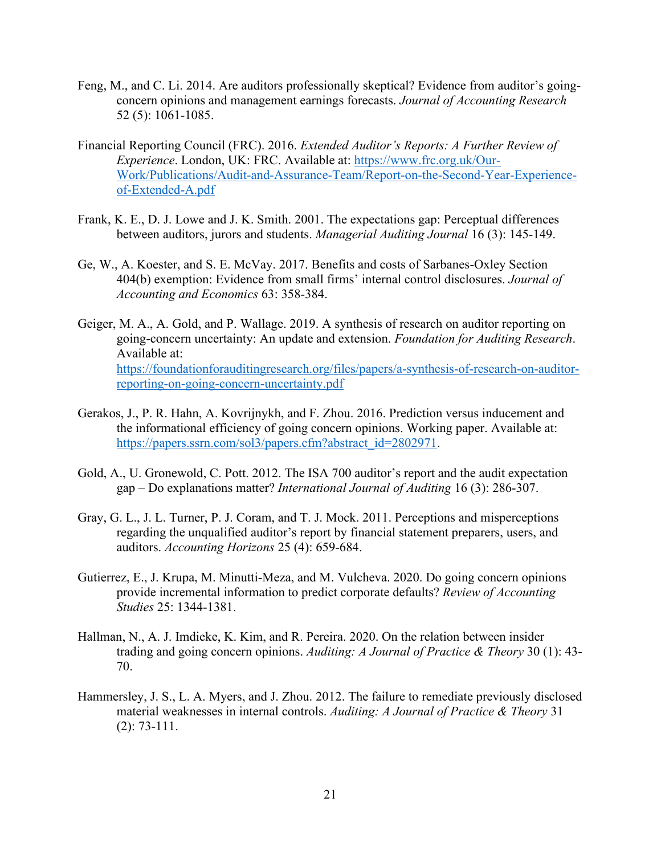- Feng, M., and C. Li. 2014. Are auditors professionally skeptical? Evidence from auditor's goingconcern opinions and management earnings forecasts. *Journal of Accounting Research* 52 (5): 1061-1085.
- Financial Reporting Council (FRC). 2016. *Extended Auditor's Reports: A Further Review of Experience*. London, UK: FRC. Available at: [https://www.frc.org.uk/Our-](https://www.frc.org.uk/Our-Work/Publications/Audit-and-Assurance-Team/Report-on-the-Second-Year-Experience-of-Extended-A.pdf)[Work/Publications/Audit-and-Assurance-Team/Report-on-the-Second-Year-Experience](https://www.frc.org.uk/Our-Work/Publications/Audit-and-Assurance-Team/Report-on-the-Second-Year-Experience-of-Extended-A.pdf)[of-Extended-A.pdf](https://www.frc.org.uk/Our-Work/Publications/Audit-and-Assurance-Team/Report-on-the-Second-Year-Experience-of-Extended-A.pdf)
- Frank, K. E., D. J. Lowe and J. K. Smith. 2001. The expectations gap: Perceptual differences between auditors, jurors and students. *Managerial Auditing Journal* 16 (3): 145-149.
- Ge, W., A. Koester, and S. E. McVay. 2017. Benefits and costs of Sarbanes-Oxley Section 404(b) exemption: Evidence from small firms' internal control disclosures. *Journal of Accounting and Economics* 63: 358-384.
- Geiger, M. A., A. Gold, and P. Wallage. 2019. A synthesis of research on auditor reporting on going-concern uncertainty: An update and extension. *Foundation for Auditing Research*. Available at: [https://foundationforauditingresearch.org/files/papers/a-synthesis-of-research-on-auditor](https://foundationforauditingresearch.org/files/papers/a-synthesis-of-research-on-auditor-reporting-on-going-concern-uncertainty.pdf)[reporting-on-going-concern-uncertainty.pdf](https://foundationforauditingresearch.org/files/papers/a-synthesis-of-research-on-auditor-reporting-on-going-concern-uncertainty.pdf)
- Gerakos, J., P. R. Hahn, A. Kovrijnykh, and F. Zhou. 2016. Prediction versus inducement and the informational efficiency of going concern opinions. Working paper. Available at: [https://papers.ssrn.com/sol3/papers.cfm?abstract\\_id=2802971.](https://papers.ssrn.com/sol3/papers.cfm?abstract_id=2802971)
- Gold, A., U. Gronewold, C. Pott. 2012. The ISA 700 auditor's report and the audit expectation gap – Do explanations matter? *International Journal of Auditing* 16 (3): 286-307.
- Gray, G. L., J. L. Turner, P. J. Coram, and T. J. Mock. 2011. Perceptions and misperceptions regarding the unqualified auditor's report by financial statement preparers, users, and auditors. *Accounting Horizons* 25 (4): 659-684.
- Gutierrez, E., J. Krupa, M. Minutti-Meza, and M. Vulcheva. 2020. Do going concern opinions provide incremental information to predict corporate defaults? *Review of Accounting Studies* 25: 1344-1381.
- Hallman, N., A. J. Imdieke, K. Kim, and R. Pereira. 2020. On the relation between insider trading and going concern opinions. *Auditing: A Journal of Practice & Theory* 30 (1): 43- 70.
- Hammersley, J. S., L. A. Myers, and J. Zhou. 2012. The failure to remediate previously disclosed material weaknesses in internal controls. *Auditing: A Journal of Practice & Theory* 31 (2): 73-111.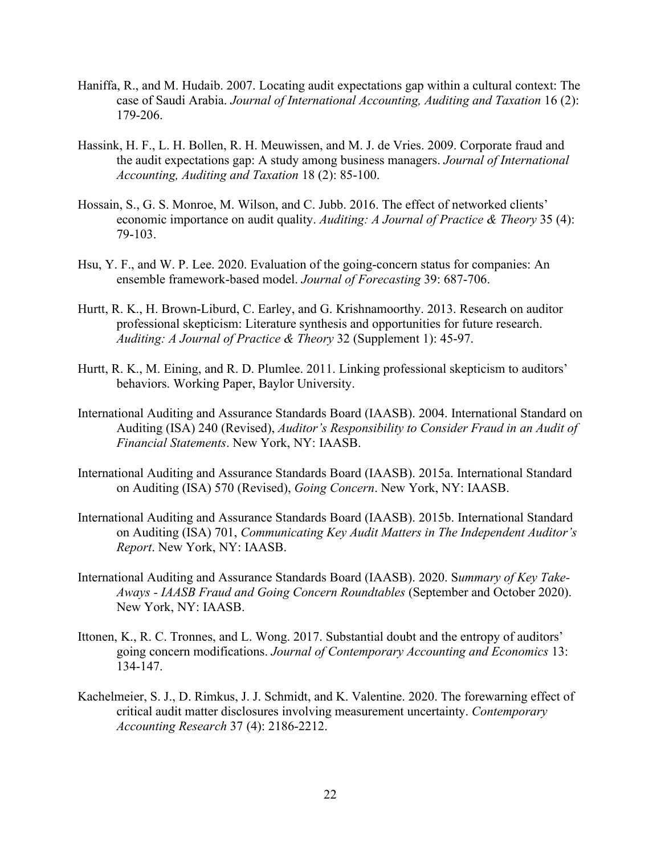- Haniffa, R., and M. Hudaib. 2007. Locating audit expectations gap within a cultural context: The case of Saudi Arabia. *Journal of International Accounting, Auditing and Taxation* 16 (2): 179-206.
- Hassink, H. F., L. H. Bollen, R. H. Meuwissen, and M. J. de Vries. 2009. Corporate fraud and the audit expectations gap: A study among business managers. *Journal of International Accounting, Auditing and Taxation* 18 (2): 85-100.
- Hossain, S., G. S. Monroe, M. Wilson, and C. Jubb. 2016. The effect of networked clients' economic importance on audit quality. *Auditing: A Journal of Practice & Theory* 35 (4): 79-103.
- Hsu, Y. F., and W. P. Lee. 2020. Evaluation of the going-concern status for companies: An ensemble framework-based model. *Journal of Forecasting* 39: 687-706.
- Hurtt, R. K., H. Brown-Liburd, C. Earley, and G. Krishnamoorthy. 2013. Research on auditor professional skepticism: Literature synthesis and opportunities for future research. *Auditing: A Journal of Practice & Theory* 32 (Supplement 1): 45-97.
- Hurtt, R. K., M. Eining, and R. D. Plumlee. 2011. Linking professional skepticism to auditors' behaviors. Working Paper, Baylor University.
- International Auditing and Assurance Standards Board (IAASB). 2004. International Standard on Auditing (ISA) 240 (Revised), *Auditor's Responsibility to Consider Fraud in an Audit of Financial Statements*. New York, NY: IAASB.
- International Auditing and Assurance Standards Board (IAASB). 2015a. International Standard on Auditing (ISA) 570 (Revised), *Going Concern*. New York, NY: IAASB.
- International Auditing and Assurance Standards Board (IAASB). 2015b. International Standard on Auditing (ISA) 701, *Communicating Key Audit Matters in The Independent Auditor's Report*. New York, NY: IAASB.
- International Auditing and Assurance Standards Board (IAASB). 2020. S*ummary of Key Take-Aways - IAASB Fraud and Going Concern Roundtables* (September and October 2020). New York, NY: IAASB.
- Ittonen, K., R. C. Tronnes, and L. Wong. 2017. Substantial doubt and the entropy of auditors' going concern modifications. *Journal of Contemporary Accounting and Economics* 13: 134-147.
- Kachelmeier, S. J., D. Rimkus, J. J. Schmidt, and K. Valentine. 2020. The forewarning effect of critical audit matter disclosures involving measurement uncertainty. *Contemporary Accounting Research* 37 (4): 2186-2212.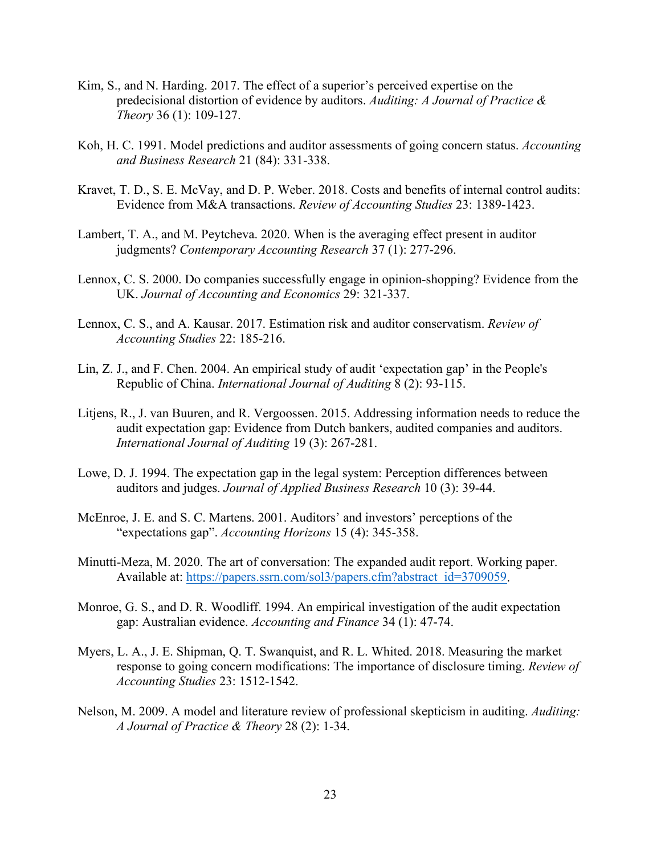- Kim, S., and N. Harding. 2017. The effect of a superior's perceived expertise on the predecisional distortion of evidence by auditors. *Auditing: A Journal of Practice & Theory* 36 (1): 109-127.
- Koh, H. C. 1991. Model predictions and auditor assessments of going concern status. *Accounting and Business Research* 21 (84): 331-338.
- Kravet, T. D., S. E. McVay, and D. P. Weber. 2018. Costs and benefits of internal control audits: Evidence from M&A transactions. *Review of Accounting Studies* 23: 1389-1423.
- Lambert, T. A., and M. Peytcheva. 2020. When is the averaging effect present in auditor judgments? *Contemporary Accounting Research* 37 (1): 277-296.
- Lennox, C. S. 2000. Do companies successfully engage in opinion-shopping? Evidence from the UK. *Journal of Accounting and Economics* 29: 321-337.
- Lennox, C. S., and A. Kausar. 2017. Estimation risk and auditor conservatism. *Review of Accounting Studies* 22: 185-216.
- Lin, Z. J., and F. Chen. 2004. An empirical study of audit 'expectation gap' in the People's Republic of China. *International Journal of Auditing* 8 (2): 93-115.
- Litjens, R., J. van Buuren, and R. Vergoossen. 2015. Addressing information needs to reduce the audit expectation gap: Evidence from Dutch bankers, audited companies and auditors. *International Journal of Auditing* 19 (3): 267-281.
- Lowe, D. J. 1994. The expectation gap in the legal system: Perception differences between auditors and judges. *Journal of Applied Business Research* 10 (3): 39-44.
- McEnroe, J. E. and S. C. Martens. 2001. Auditors' and investors' perceptions of the "expectations gap". *Accounting Horizons* 15 (4): 345-358.
- Minutti-Meza, M. 2020. The art of conversation: The expanded audit report. Working paper. Available at: [https://papers.ssrn.com/sol3/papers.cfm?abstract\\_id=3709059.](https://papers.ssrn.com/sol3/papers.cfm?abstract_id=3709059)
- Monroe, G. S., and D. R. Woodliff. 1994. An empirical investigation of the audit expectation gap: Australian evidence. *Accounting and Finance* 34 (1): 47-74.
- Myers, L. A., J. E. Shipman, Q. T. Swanquist, and R. L. Whited. 2018. Measuring the market response to going concern modifications: The importance of disclosure timing. *Review of Accounting Studies* 23: 1512-1542.
- Nelson, M. 2009. A model and literature review of professional skepticism in auditing. *Auditing: A Journal of Practice & Theory* 28 (2): 1-34.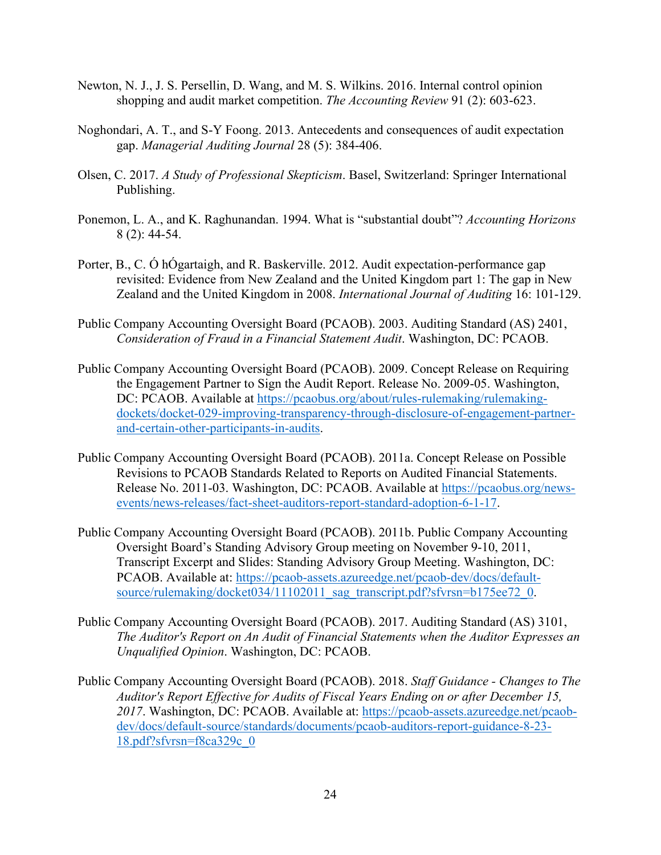- Newton, N. J., J. S. Persellin, D. Wang, and M. S. Wilkins. 2016. Internal control opinion shopping and audit market competition. *The Accounting Review* 91 (2): 603-623.
- Noghondari, A. T., and S-Y Foong. 2013. Antecedents and consequences of audit expectation gap. *Managerial Auditing Journal* 28 (5): 384-406.
- Olsen, C. 2017. *A Study of Professional Skepticism*. Basel, Switzerland: Springer International Publishing.
- Ponemon, L. A., and K. Raghunandan. 1994. What is "substantial doubt"? *Accounting Horizons* 8 (2): 44-54.
- Porter, B., C. Ó hÓgartaigh, and R. Baskerville. 2012. Audit expectation-performance gap revisited: Evidence from New Zealand and the United Kingdom part 1: The gap in New Zealand and the United Kingdom in 2008. *International Journal of Auditing* 16: 101-129.
- Public Company Accounting Oversight Board (PCAOB). 2003. Auditing Standard (AS) 2401, *Consideration of Fraud in a Financial Statement Audit*. Washington, DC: PCAOB.
- Public Company Accounting Oversight Board (PCAOB). 2009. Concept Release on Requiring the Engagement Partner to Sign the Audit Report. Release No. 2009-05. Washington, DC: PCAOB. Available at [https://pcaobus.org/about/rules-rulemaking/rulemaking](https://pcaobus.org/about/rules-rulemaking/rulemaking-dockets/docket-029-improving-transparency-through-disclosure-of-engagement-partner-and-certain-other-participants-in-audits)[dockets/docket-029-improving-transparency-through-disclosure-of-engagement-partner](https://pcaobus.org/about/rules-rulemaking/rulemaking-dockets/docket-029-improving-transparency-through-disclosure-of-engagement-partner-and-certain-other-participants-in-audits)[and-certain-other-participants-in-audits.](https://pcaobus.org/about/rules-rulemaking/rulemaking-dockets/docket-029-improving-transparency-through-disclosure-of-engagement-partner-and-certain-other-participants-in-audits)
- Public Company Accounting Oversight Board (PCAOB). 2011a. Concept Release on Possible Revisions to PCAOB Standards Related to Reports on Audited Financial Statements. Release No. 2011-03. Washington, DC: PCAOB. Available at [https://pcaobus.org/news](https://pcaobus.org/news-events/news-releases/fact-sheet-auditors-report-standard-adoption-6-1-17)[events/news-releases/fact-sheet-auditors-report-standard-adoption-6-1-17.](https://pcaobus.org/news-events/news-releases/fact-sheet-auditors-report-standard-adoption-6-1-17)
- Public Company Accounting Oversight Board (PCAOB). 2011b. Public Company Accounting Oversight Board's Standing Advisory Group meeting on November 9-10, 2011, Transcript Excerpt and Slides: Standing Advisory Group Meeting. Washington, DC: PCAOB. Available at: [https://pcaob-assets.azureedge.net/pcaob-dev/docs/default](https://pcaob-assets.azureedge.net/pcaob-dev/docs/default-source/rulemaking/docket034/11102011_sag_transcript.pdf?sfvrsn=b175ee72_0)[source/rulemaking/docket034/11102011\\_sag\\_transcript.pdf?sfvrsn=b175ee72\\_0.](https://pcaob-assets.azureedge.net/pcaob-dev/docs/default-source/rulemaking/docket034/11102011_sag_transcript.pdf?sfvrsn=b175ee72_0)
- Public Company Accounting Oversight Board (PCAOB). 2017. Auditing Standard (AS) 3101, *The Auditor's Report on An Audit of Financial Statements when the Auditor Expresses an Unqualified Opinion*. Washington, DC: PCAOB.
- Public Company Accounting Oversight Board (PCAOB). 2018. *Staff Guidance - Changes to The Auditor's Report Effective for Audits of Fiscal Years Ending on or after December 15, 2017*. Washington, DC: PCAOB. Available at: [https://pcaob-assets.azureedge.net/pcaob](https://pcaob-assets.azureedge.net/pcaob-dev/docs/default-source/standards/documents/pcaob-auditors-report-guidance-8-23-18.pdf?sfvrsn=f8ca329c_0)[dev/docs/default-source/standards/documents/pcaob-auditors-report-guidance-8-23-](https://pcaob-assets.azureedge.net/pcaob-dev/docs/default-source/standards/documents/pcaob-auditors-report-guidance-8-23-18.pdf?sfvrsn=f8ca329c_0) [18.pdf?sfvrsn=f8ca329c\\_0](https://pcaob-assets.azureedge.net/pcaob-dev/docs/default-source/standards/documents/pcaob-auditors-report-guidance-8-23-18.pdf?sfvrsn=f8ca329c_0)